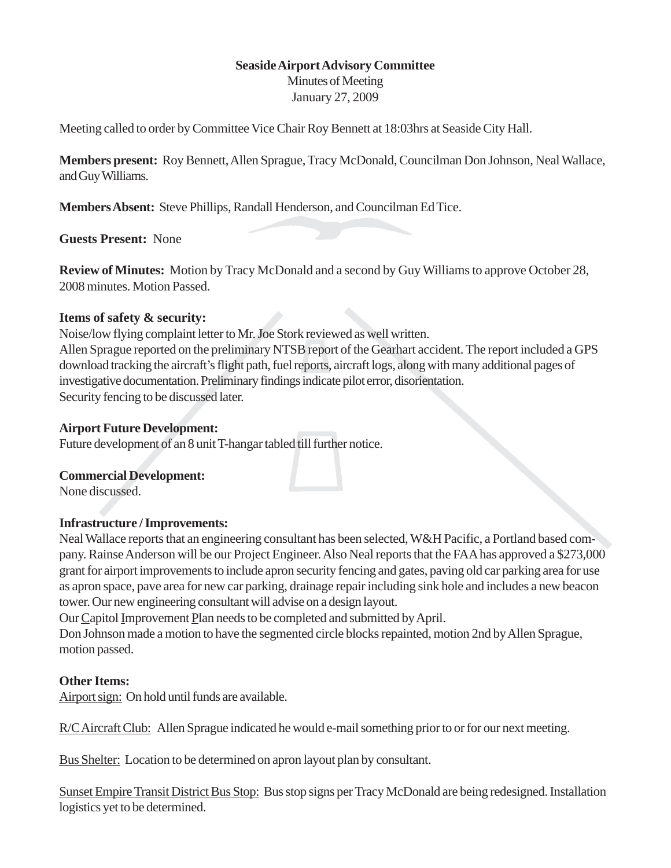### **Seaside Airport Advisory Committee**

Minutes of Meeting January 27, 2009

Meeting called to order by Committee Vice Chair Roy Bennett at 18:03hrs at Seaside City Hall.

**Members present:** Roy Bennett, Allen Sprague, Tracy McDonald, Councilman Don Johnson, Neal Wallace, and Guy Williams.

**Members Absent:** Steve Phillips, Randall Henderson, and Councilman Ed Tice.

**Guests Present:** None

**Review of Minutes:** Motion by Tracy McDonald and a second by Guy Williams to approve October 28, 2008 minutes. Motion Passed.

#### **Items of safety & security:**

Noise/low flying complaint letter to Mr. Joe Stork reviewed as well written. Allen Sprague reported on the preliminary NTSB report of the Gearhart accident. The report included a GPS download tracking the aircraft's flight path, fuel reports, aircraft logs, along with many additional pages of investigative documentation. Preliminary findings indicate pilot error, disorientation. Security fencing to be discussed later.

## **Airport Future Development:**

Future development of an 8 unit T-hangar tabled till further notice.

#### **Commercial Development:**

None discussed.

#### **Infrastructure / Improvements:**

Neal Wallace reports that an engineering consultant has been selected, W&H Pacific, a Portland based company. Rainse Anderson will be our Project Engineer. Also Neal reports that the FAA has approved a \$273,000 grant for airport improvements to include apron security fencing and gates, paving old car parking area for use as apron space, pave area for new car parking, drainage repair including sink hole and includes a new beacon tower. Our new engineering consultant will advise on a design layout.

Our Capitol Improvement Plan needs to be completed and submitted by April.

Don Johnson made a motion to have the segmented circle blocks repainted, motion 2nd by Allen Sprague, motion passed.

# **Other Items:**

Airport sign: On hold until funds are available.

R/C Aircraft Club: Allen Sprague indicated he would e-mail something prior to or for our next meeting.

Bus Shelter: Location to be determined on apron layout plan by consultant.

Sunset Empire Transit District Bus Stop: Bus stop signs per Tracy McDonald are being redesigned. Installation logistics yet to be determined.